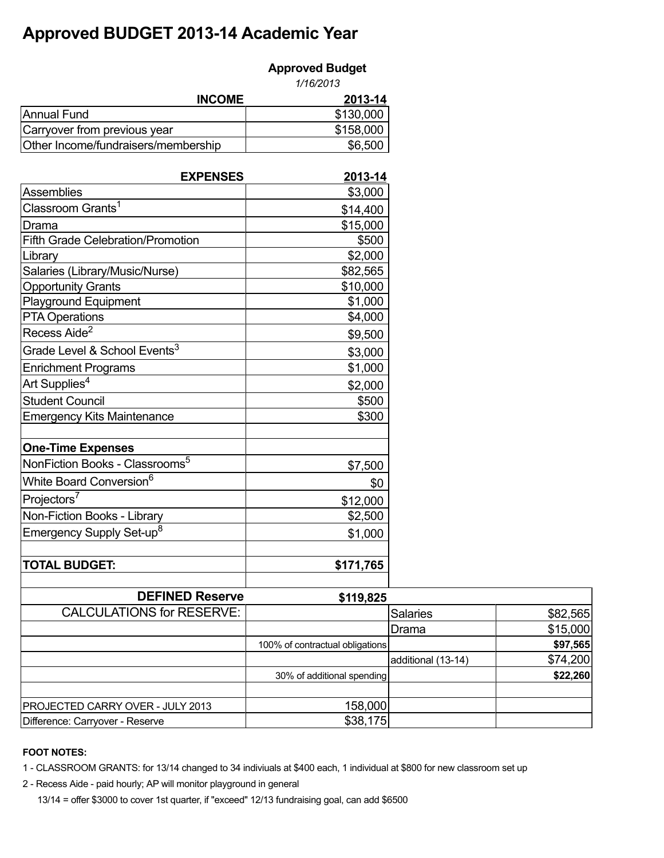## **Approved BUDGET 2013-14 Academic Year**

| <b>Approved Budget</b> |  |
|------------------------|--|
|------------------------|--|

|                                     | 1/16/2013 |  |
|-------------------------------------|-----------|--|
| <b>INCOME</b>                       | 2013-14   |  |
| Annual Fund                         | \$130,000 |  |
| Carryover from previous year        | \$158,000 |  |
| Other Income/fundraisers/membership | \$6,500   |  |

| <b>EXPENSES</b>                            | <u>2013-14</u> |
|--------------------------------------------|----------------|
| <b>Assemblies</b>                          | \$3,000        |
| Classroom Grants <sup>1</sup>              | \$14,400       |
| Drama                                      | \$15,000       |
| <b>Fifth Grade Celebration/Promotion</b>   | \$500          |
| Library                                    | \$2,000        |
| Salaries (Library/Music/Nurse)             | \$82,565       |
| <b>Opportunity Grants</b>                  | \$10,000       |
| <b>Playground Equipment</b>                | \$1,000        |
| <b>PTA Operations</b>                      | \$4,000        |
| Recess Aide <sup>2</sup>                   | \$9,500        |
| Grade Level & School Events <sup>3</sup>   | \$3,000        |
| <b>Enrichment Programs</b>                 | \$1,000        |
| Art Supplies <sup>4</sup>                  | \$2,000        |
| <b>Student Council</b>                     | \$500          |
| <b>Emergency Kits Maintenance</b>          | \$300          |
| <b>One-Time Expenses</b>                   |                |
| NonFiction Books - Classrooms <sup>5</sup> | \$7,500        |
| White Board Conversion <sup>6</sup>        | \$0            |
| Projectors <sup>7</sup>                    | \$12,000       |
| Non-Fiction Books - Library                | \$2,500        |
| Emergency Supply Set-up <sup>8</sup>       | \$1,000        |
|                                            |                |
| <b>TOTAL BUDGET:</b>                       | \$171,765      |
|                                            |                |

| <b>DEFINED Reserve</b>                  | \$119,825                       |                    |          |
|-----------------------------------------|---------------------------------|--------------------|----------|
| <b>CALCULATIONS for RESERVE:</b>        |                                 | <b>Salaries</b>    | \$82,565 |
|                                         |                                 | Drama              | \$15,000 |
|                                         | 100% of contractual obligations |                    | \$97,565 |
|                                         |                                 | additional (13-14) | \$74,200 |
|                                         | 30% of additional spending      |                    | \$22,260 |
|                                         |                                 |                    |          |
| <b>PROJECTED CARRY OVER - JULY 2013</b> | 158,000                         |                    |          |
| Difference: Carryover - Reserve         | \$38,175                        |                    |          |

## **FOOT NOTES:**

1 - CLASSROOM GRANTS: for 13/14 changed to 34 indiviuals at \$400 each, 1 individual at \$800 for new classroom set up

2 - Recess Aide - paid hourly; AP will monitor playground in general

13/14 = offer \$3000 to cover 1st quarter, if "exceed" 12/13 fundraising goal, can add \$6500